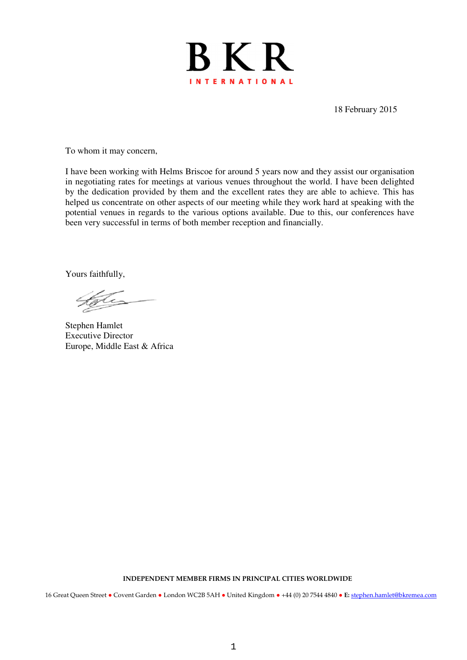

18 February 2015

To whom it may concern,

I have been working with Helms Briscoe for around 5 years now and they assist our organisation in negotiating rates for meetings at various venues throughout the world. I have been delighted by the dedication provided by them and the excellent rates they are able to achieve. This has helped us concentrate on other aspects of our meeting while they work hard at speaking with the potential venues in regards to the various options available. Due to this, our conferences have been very successful in terms of both member reception and financially.

Yours faithfully,

Stephen Hamlet Executive Director Europe, Middle East & Africa

**INDEPENDENT MEMBER FIRMS IN PRINCIPAL CITIES WORLDWIDE**

16 Great Queen Street **●** Covent Garden **●** London WC2B 5AH **●** United Kingdom **●** +44 (0) 20 7544 4840 **● E:** stephen.hamlet@bkremea.com